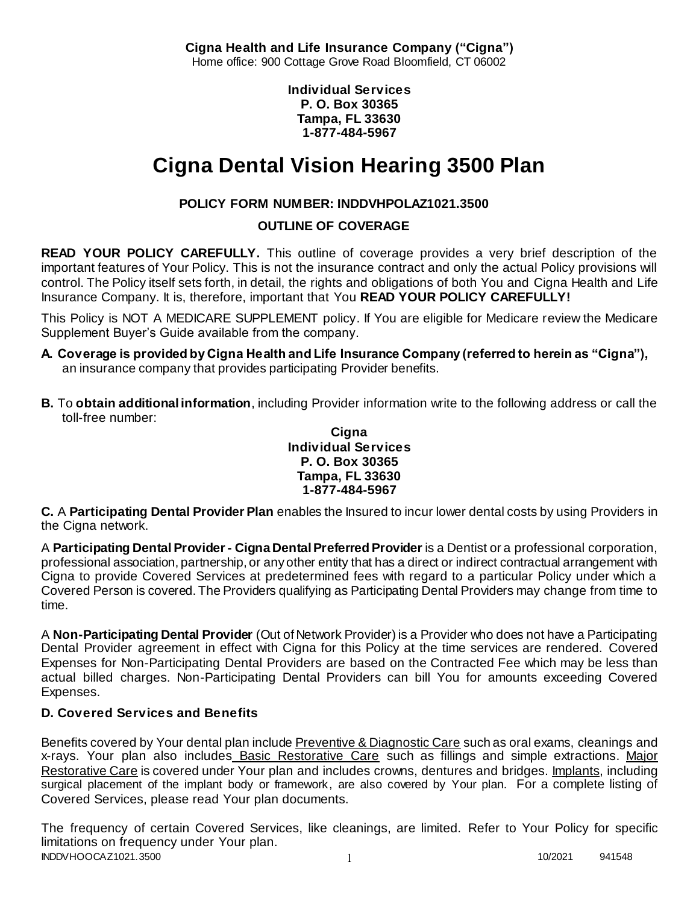**Cigna Health and Life Insurance Company ("Cigna")** Home office: 900 Cottage Grove Road Bloomfield, CT 06002

> **Individual Services P. O. Box 30365 Tampa, FL 33630 1-877-484-5967**

# **Cigna Dental Vision Hearing 3500 Plan**

# **POLICY FORM NUMBER: INDDVHPOLAZ1021.3500**

**OUTLINE OF COVERAGE** 

**READ YOUR POLICY CAREFULLY.** This outline of coverage provides a very brief description of the important features of Your Policy. This is not the insurance contract and only the actual Policy provisions will control. The Policy itself sets forth, in detail, the rights and obligations of both You and Cigna Health and Life Insurance Company. It is, therefore, important that You **READ YOUR POLICY CAREFULLY!** 

This Policy is NOT A MEDICARE SUPPLEMENT policy. If You are eligible for Medicare review the Medicare Supplement Buyer's Guide available from the company.

- **A. Coverage is provided by Cigna Health and Life Insurance Company (referred to herein as "Cigna"),**  an insurance company that provides participating Provider benefits.
- **B.** To **obtain additional information**, including Provider information write to the following address or call the toll-free number:

**Cigna Individual Services P. O. Box 30365 Tampa, FL 33630 1-877-484-5967**

**C.** A **Participating Dental Provider Plan** enables the Insured to incur lower dental costs by using Providers in the Cigna network.

A **Participating Dental Provider - Cigna Dental Preferred Provider** is a Dentist or a professional corporation, professional association, partnership, or any other entity that has a direct or indirect contractual arrangement with Cigna to provide Covered Services at predetermined fees with regard to a particular Policy under which a Covered Person is covered. The Providers qualifying as Participating Dental Providers may change from time to time.

A **Non-Participating Dental Provider** (Out of Network Provider) is a Provider who does not have a Participating Dental Provider agreement in effect with Cigna for this Policy at the time services are rendered. Covered Expenses for Non-Participating Dental Providers are based on the Contracted Fee which may be less than actual billed charges. Non-Participating Dental Providers can bill You for amounts exceeding Covered Expenses.

# **D. Covered Services and Benefits**

Benefits covered by Your dental plan include Preventive & Diagnostic Care such as oral exams, cleanings and x-rays. Your plan also includes Basic Restorative Care such as fillings and simple extractions. Major Restorative Care is covered under Your plan and includes crowns, dentures and bridges. Implants, including surgical placement of the implant body or framework, are also covered by Your plan. For a complete listing of Covered Services, please read Your plan documents.

INDDVHOOCAZ1021.3500 1 10/2021 941548 The frequency of certain Covered Services, like cleanings, are limited. Refer to Your Policy for specific limitations on frequency under Your plan.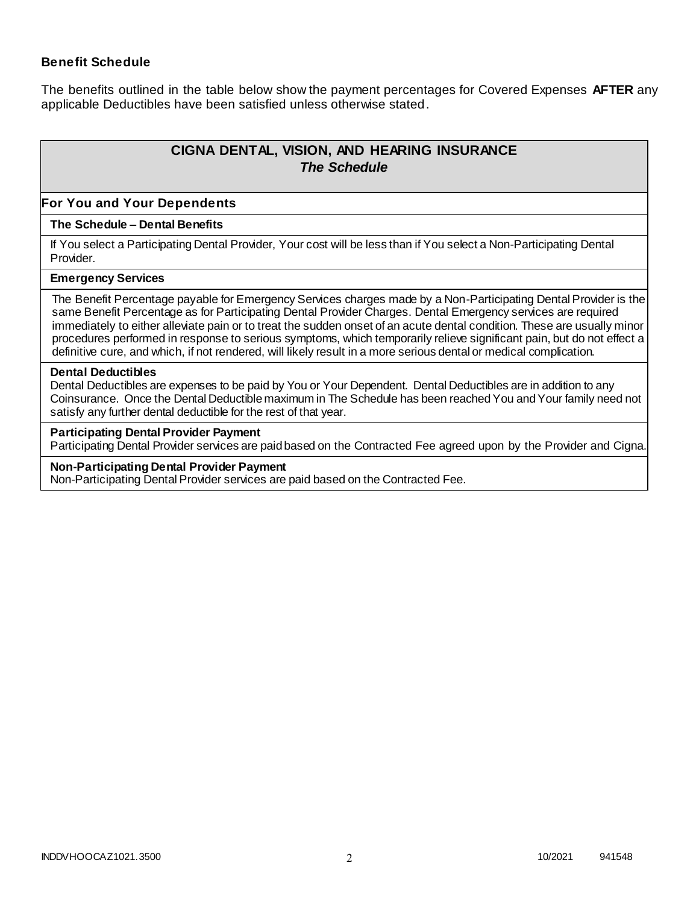### **Benefit Schedule**

The benefits outlined in the table below show the payment percentages for Covered Expenses **AFTER** any applicable Deductibles have been satisfied unless otherwise stated.

# **CIGNA DENTAL, VISION, AND HEARING INSURANCE** *The Schedule*

#### **For You and Your Dependents**

#### **The Schedule – Dental Benefits**

If You select a Participating Dental Provider, Your cost will be less than if You select a Non-Participating Dental Provider.

#### **Emergency Services**

The Benefit Percentage payable for Emergency Services charges made by a Non-Participating Dental Provider is the same Benefit Percentage as for Participating Dental Provider Charges. Dental Emergency services are required immediately to either alleviate pain or to treat the sudden onset of an acute dental condition. These are usually minor procedures performed in response to serious symptoms, which temporarily relieve significant pain, but do not effect a definitive cure, and which, if not rendered, will likely result in a more serious dental or medical complication.

#### **Dental Deductibles**

Dental Deductibles are expenses to be paid by You or Your Dependent. Dental Deductibles are in addition to any Coinsurance. Once the Dental Deductible maximum in The Schedule has been reached You and Your family need not satisfy any further dental deductible for the rest of that year.

#### **Participating Dental Provider Payment**

Participating Dental Provider services are paid based on the Contracted Fee agreed upon by the Provider and Cigna.

#### **Non-Participating Dental Provider Payment**

Non-Participating Dental Provider services are paid based on the Contracted Fee.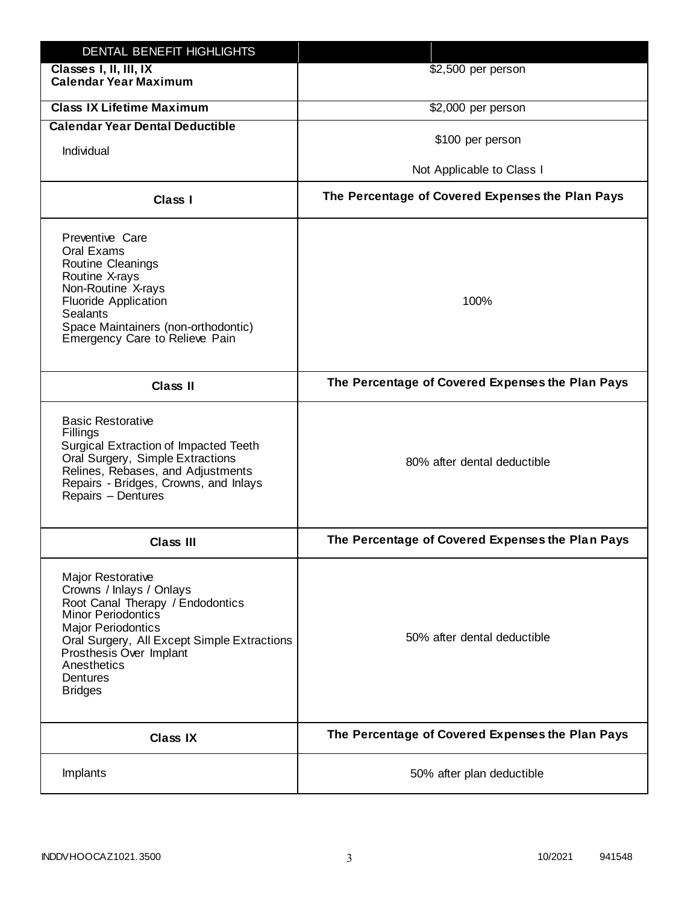| DENTAL BENEFIT HIGHLIGHTS                                                                                                                                                                                                                                                 |                                                  |
|---------------------------------------------------------------------------------------------------------------------------------------------------------------------------------------------------------------------------------------------------------------------------|--------------------------------------------------|
| Classes I, II, III, IX<br><b>Calendar Year Maximum</b>                                                                                                                                                                                                                    | \$2,500 per person                               |
| <b>Class IX Lifetime Maximum</b>                                                                                                                                                                                                                                          | \$2,000 per person                               |
| <b>Calendar Year Dental Deductible</b>                                                                                                                                                                                                                                    |                                                  |
| Individual                                                                                                                                                                                                                                                                | \$100 per person                                 |
|                                                                                                                                                                                                                                                                           | Not Applicable to Class I                        |
| Class I                                                                                                                                                                                                                                                                   | The Percentage of Covered Expenses the Plan Pays |
| Preventive Care<br>Oral Exams<br><b>Routine Cleanings</b><br>Routine X-rays<br>Non-Routine X-rays<br><b>Fluoride Application</b><br><b>Sealants</b><br>Space Maintainers (non-orthodontic)<br>Emergency Care to Relieve Pain                                              | 100%                                             |
| <b>Class II</b>                                                                                                                                                                                                                                                           | The Percentage of Covered Expenses the Plan Pays |
| <b>Basic Restorative</b><br>Fillings<br>Surgical Extraction of Impacted Teeth<br>Oral Surgery, Simple Extractions<br>Relines, Rebases, and Adjustments<br>Repairs - Bridges, Crowns, and Inlays<br>Repairs - Dentures                                                     | 80% after dental deductible                      |
| <b>Class III</b>                                                                                                                                                                                                                                                          | The Percentage of Covered Expenses the Plan Pays |
| <b>Major Restorative</b><br>Crowns / Inlays / Onlays<br>Root Canal Therapy / Endodontics<br><b>Minor Periodontics</b><br><b>Major Periodontics</b><br>Oral Surgery, All Except Simple Extractions<br>Prosthesis Over Implant<br>Anesthetics<br>Dentures<br><b>Bridges</b> | 50% after dental deductible                      |
| <b>Class IX</b>                                                                                                                                                                                                                                                           | The Percentage of Covered Expenses the Plan Pays |
| Implants                                                                                                                                                                                                                                                                  | 50% after plan deductible                        |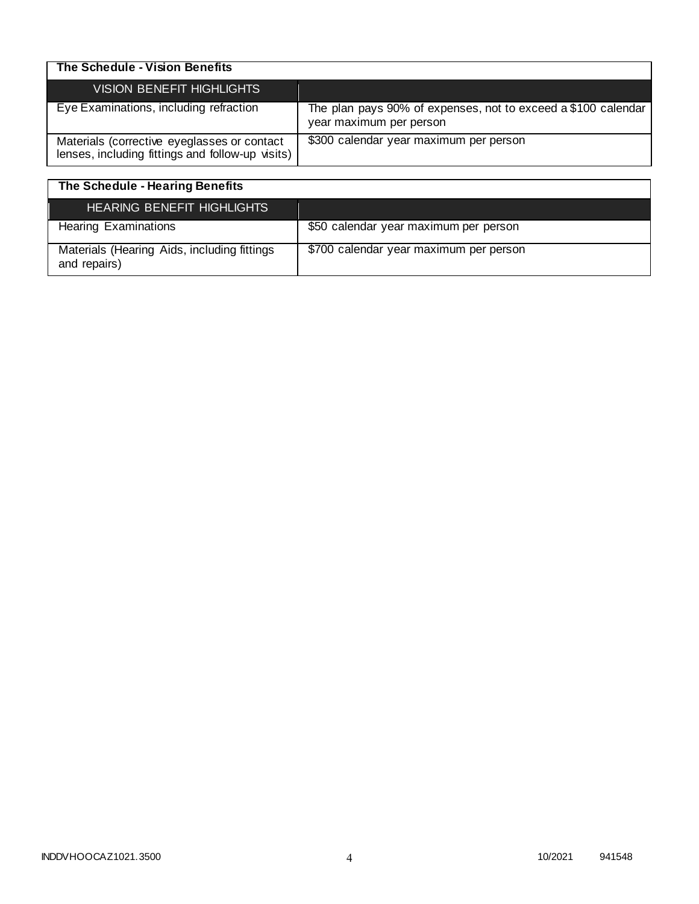| The Schedule - Vision Benefits                                                                  |                                                                                          |
|-------------------------------------------------------------------------------------------------|------------------------------------------------------------------------------------------|
| <b>VISION BENEFIT HIGHLIGHTS</b>                                                                |                                                                                          |
| Eye Examinations, including refraction                                                          | The plan pays 90% of expenses, not to exceed a \$100 calendar<br>year maximum per person |
| Materials (corrective eyeglasses or contact<br>lenses, including fittings and follow-up visits) | \$300 calendar year maximum per person                                                   |

| The Schedule - Hearing Benefits                             |                                        |
|-------------------------------------------------------------|----------------------------------------|
| HEARING BENEFIT HIGHLIGHTS                                  |                                        |
| <b>Hearing Examinations</b>                                 | \$50 calendar year maximum per person  |
| Materials (Hearing Aids, including fittings<br>and repairs) | \$700 calendar year maximum per person |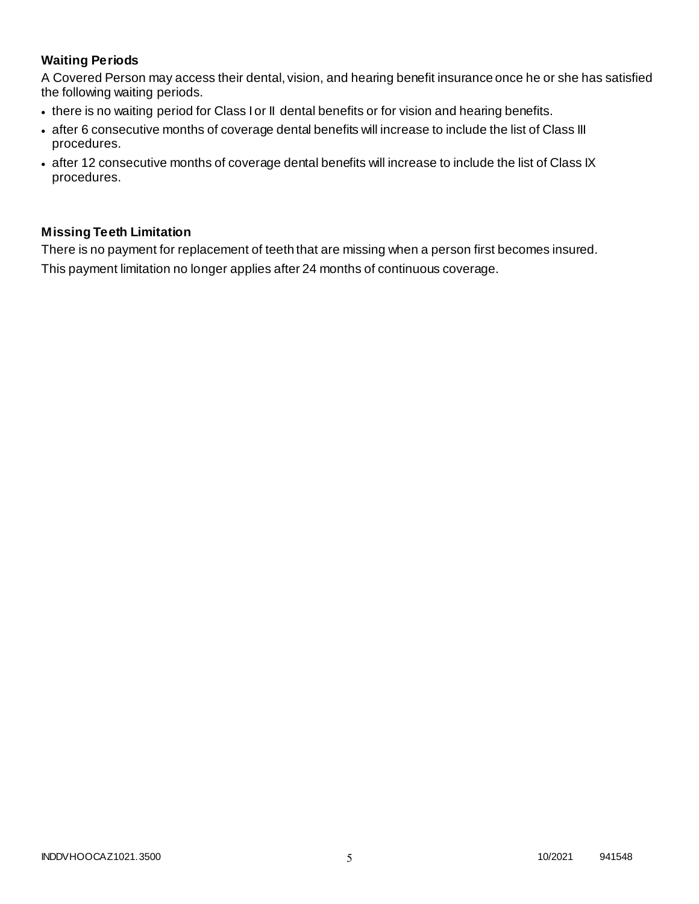# **Waiting Periods**

A Covered Person may access their dental, vision, and hearing benefit insurance once he or she has satisfied the following waiting periods.

- there is no waiting period for Class I or II dental benefits or for vision and hearing benefits.
- after 6 consecutive months of coverage dental benefits will increase to include the list of Class III procedures.
- after 12 consecutive months of coverage dental benefits will increase to include the list of Class IX procedures.

### **Missing Teeth Limitation**

There is no payment for replacement of teeth that are missing when a person first becomes insured. This payment limitation no longer applies after 24 months of continuous coverage.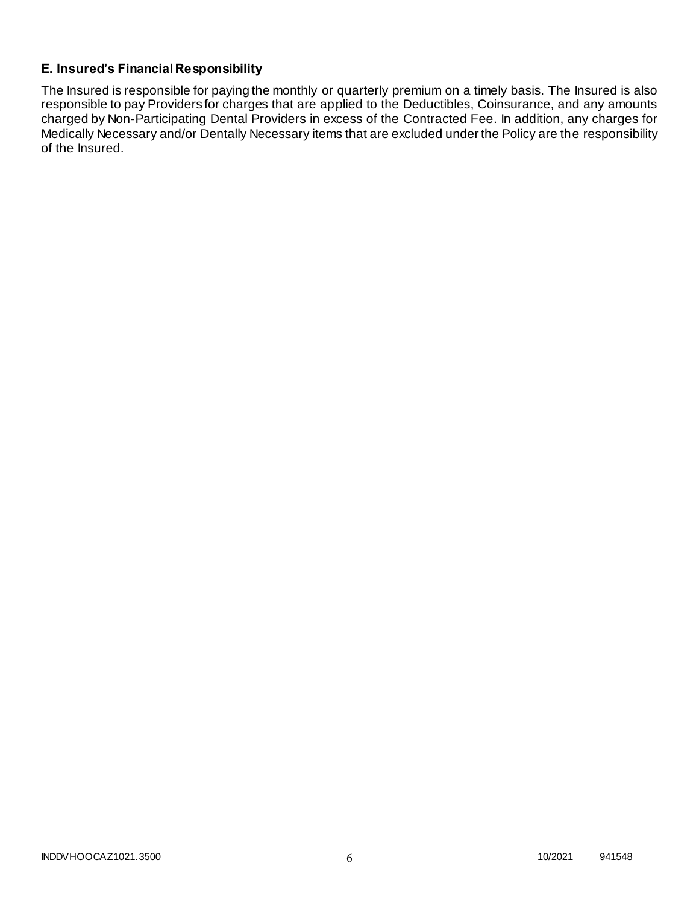## **E. Insured's Financial Responsibility**

The Insured is responsible for paying the monthly or quarterly premium on a timely basis. The Insured is also responsible to pay Providers for charges that are applied to the Deductibles, Coinsurance, and any amounts charged by Non-Participating Dental Providers in excess of the Contracted Fee. In addition, any charges for Medically Necessary and/or Dentally Necessary items that are excluded under the Policy are the responsibility of the Insured.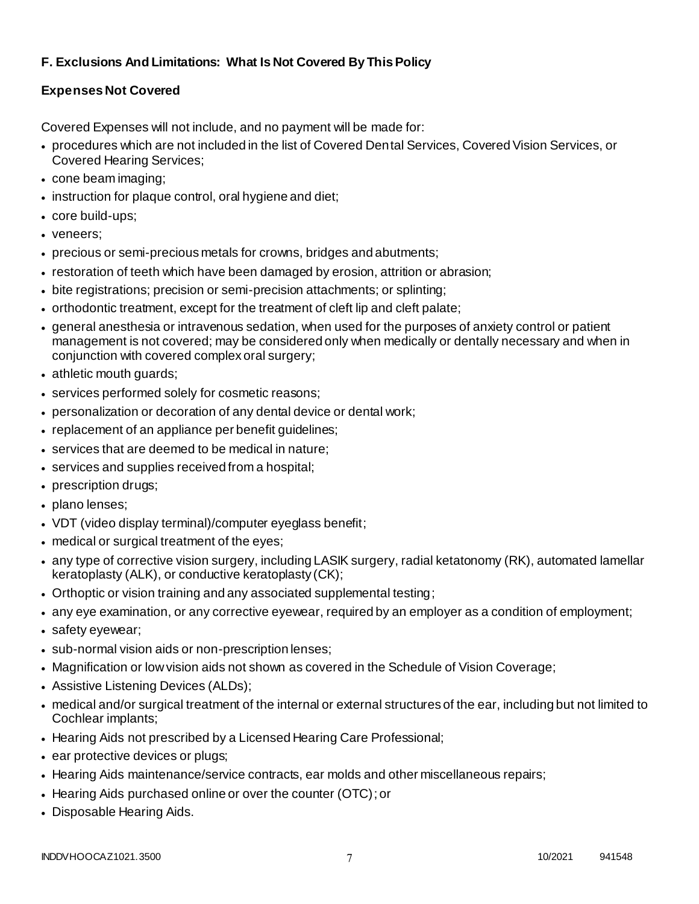# **F. Exclusions And Limitations: What Is Not Covered By This Policy**

# **Expenses Not Covered**

Covered Expenses will not include, and no payment will be made for:

- procedures which are not included in the list of Covered Dental Services, Covered Vision Services, or Covered Hearing Services;
- cone beam imaging;
- instruction for plaque control, oral hygiene and diet;
- core build-ups;
- veneers;
- precious or semi-precious metals for crowns, bridges and abutments;
- restoration of teeth which have been damaged by erosion, attrition or abrasion;
- bite registrations; precision or semi-precision attachments; or splinting;
- orthodontic treatment, except for the treatment of cleft lip and cleft palate;
- general anesthesia or intravenous sedation, when used for the purposes of anxiety control or patient management is not covered; may be considered only when medically or dentally necessary and when in conjunction with covered complex oral surgery;
- athletic mouth guards;
- services performed solely for cosmetic reasons;
- personalization or decoration of any dental device or dental work;
- replacement of an appliance per benefit guidelines;
- services that are deemed to be medical in nature;
- services and supplies received from a hospital;
- prescription drugs;
- plano lenses;
- VDT (video display terminal)/computer eyeglass benefit;
- medical or surgical treatment of the eyes;
- any type of corrective vision surgery, including LASIK surgery, radial ketatonomy (RK), automated lamellar keratoplasty (ALK), or conductive keratoplasty (CK);
- Orthoptic or vision training and any associated supplemental testing;
- any eye examination, or any corrective eyewear, required by an employer as a condition of employment;
- safety eyewear;
- sub-normal vision aids or non-prescription lenses;
- Magnification or low vision aids not shown as covered in the Schedule of Vision Coverage;
- Assistive Listening Devices (ALDs);
- medical and/or surgical treatment of the internal or external structures of the ear, including but not limited to Cochlear implants;
- Hearing Aids not prescribed by a Licensed Hearing Care Professional;
- ear protective devices or plugs;
- Hearing Aids maintenance/service contracts, ear molds and other miscellaneous repairs;
- Hearing Aids purchased online or over the counter (OTC); or
- Disposable Hearing Aids.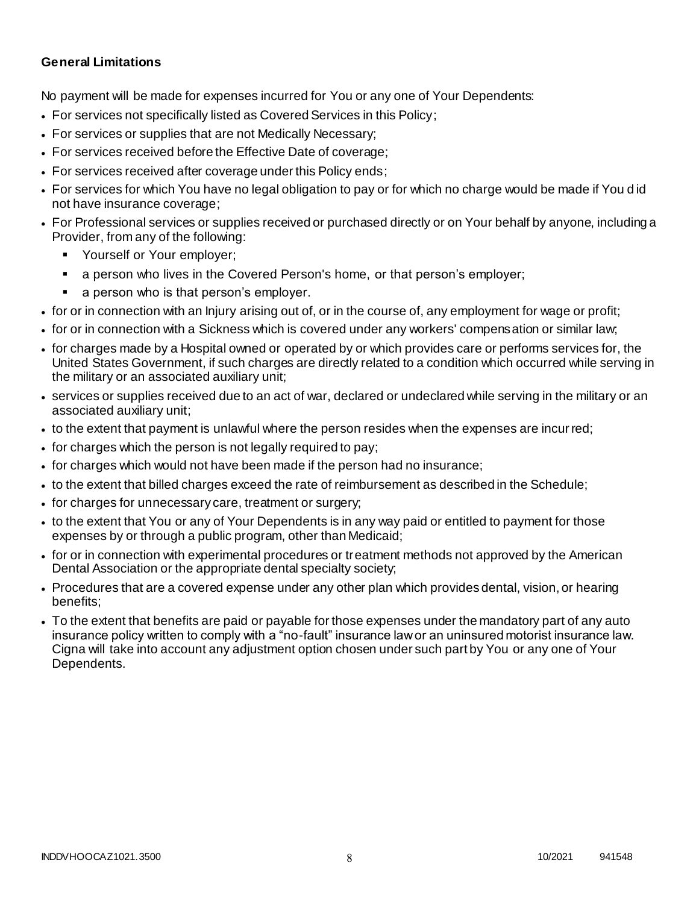### **General Limitations**

No payment will be made for expenses incurred for You or any one of Your Dependents:

- For services not specifically listed as Covered Services in this Policy;
- For services or supplies that are not Medically Necessary;
- For services received before the Effective Date of coverage;
- For services received after coverage under this Policy ends;
- For services for which You have no legal obligation to pay or for which no charge would be made if You d id not have insurance coverage;
- For Professional services or supplies received or purchased directly or on Your behalf by anyone, including a Provider, from any of the following:
	- Yourself or Your employer;
	- a person who lives in the Covered Person's home, or that person's employer;
	- a person who is that person's employer.
- for or in connection with an Injury arising out of, or in the course of, any employment for wage or profit;
- for or in connection with a Sickness which is covered under any workers' compensation or similar law;
- for charges made by a Hospital owned or operated by or which provides care or performs services for, the United States Government, if such charges are directly related to a condition which occurred while serving in the military or an associated auxiliary unit;
- services or supplies received due to an act of war, declared or undeclared while serving in the military or an associated auxiliary unit;
- to the extent that payment is unlawful where the person resides when the expenses are incurred;
- for charges which the person is not legally required to pay;
- for charges which would not have been made if the person had no insurance;
- to the extent that billed charges exceed the rate of reimbursement as described in the Schedule;
- for charges for unnecessary care, treatment or surgery;
- to the extent that You or any of Your Dependents is in any way paid or entitled to payment for those expenses by or through a public program, other than Medicaid;
- for or in connection with experimental procedures or treatment methods not approved by the American Dental Association or the appropriate dental specialty society;
- Procedures that are a covered expense under any other plan which provides dental, vision, or hearing benefits;
- To the extent that benefits are paid or payable for those expenses under the mandatory part of any auto insurance policy written to comply with a "no-fault" insurance law or an uninsured motorist insurance law. Cigna will take into account any adjustment option chosen under such part by You or any one of Your Dependents.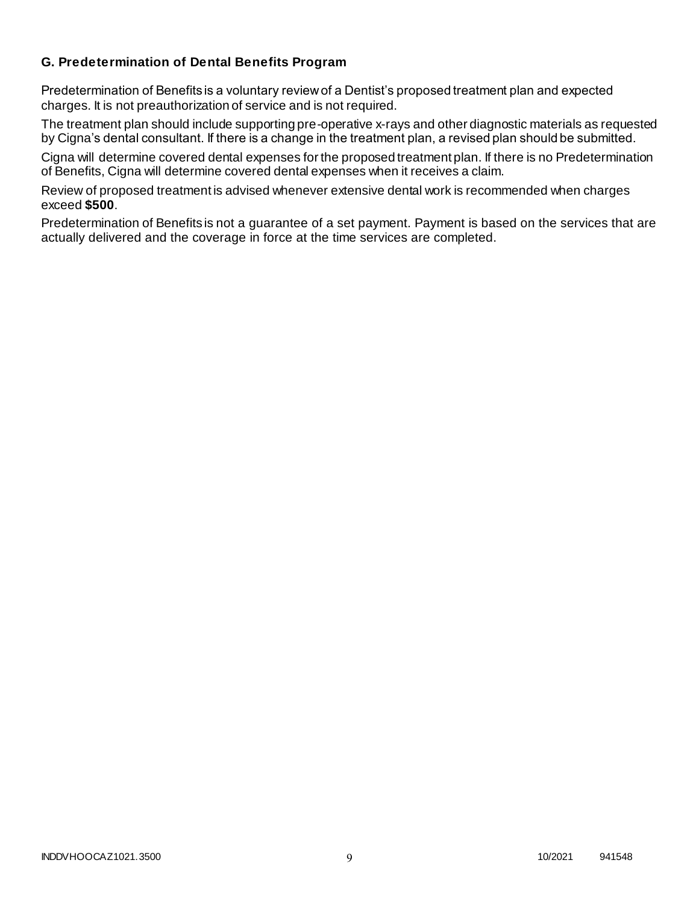### **G. Predetermination of Dental Benefits Program**

Predetermination of Benefits is a voluntary review of a Dentist's proposed treatment plan and expected charges. It is not preauthorization of service and is not required.

The treatment plan should include supporting pre-operative x-rays and other diagnostic materials as requested by Cigna's dental consultant. If there is a change in the treatment plan, a revised plan should be submitted.

Cigna will determine covered dental expenses for the proposed treatment plan. If there is no Predetermination of Benefits, Cigna will determine covered dental expenses when it receives a claim.

Review of proposed treatment is advised whenever extensive dental work is recommended when charges exceed **\$500**.

Predetermination of Benefits is not a guarantee of a set payment. Payment is based on the services that are actually delivered and the coverage in force at the time services are completed.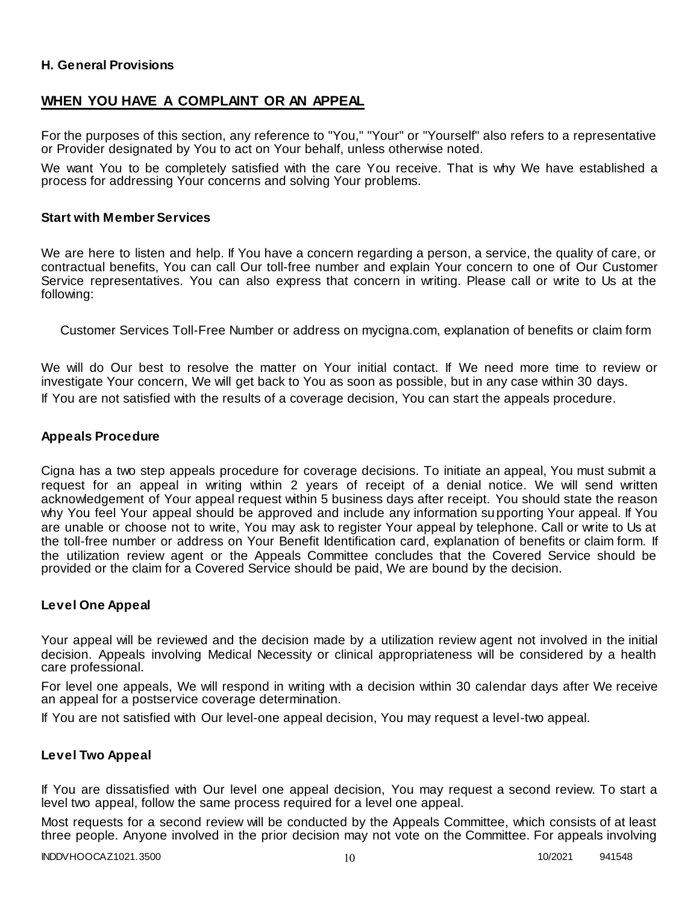### **H. General Provisions**

## **WHEN YOU HAVE A COMPLAINT OR AN APPEAL**

For the purposes of this section, any reference to "You," "Your" or "Yourself" also refers to a representative or Provider designated by You to act on Your behalf, unless otherwise noted.

We want You to be completely satisfied with the care You receive. That is why We have established a process for addressing Your concerns and solving Your problems.

### **Start with Member Services**

We are here to listen and help. If You have a concern regarding a person, a service, the quality of care, or contractual benefits, You can call Our toll-free number and explain Your concern to one of Our Customer Service representatives. You can also express that concern in writing. Please call or write to Us at the following:

Customer Services Toll-Free Number or address on mycigna.com, explanation of benefits or claim form

We will do Our best to resolve the matter on Your initial contact. If We need more time to review or investigate Your concern, We will get back to You as soon as possible, but in any case within 30 days. If You are not satisfied with the results of a coverage decision, You can start the appeals procedure.

### **Appeals Procedure**

Cigna has a two step appeals procedure for coverage decisions. To initiate an appeal, You must submit a request for an appeal in writing within 2 years of receipt of a denial notice. We will send written acknowledgement of Your appeal request within 5 business days after receipt. You should state the reason why You feel Your appeal should be approved and include any information supporting Your appeal. If You are unable or choose not to write, You may ask to register Your appeal by telephone. Call or write to Us at the toll-free number or address on Your Benefit Identification card, explanation of benefits or claim form. If the utilization review agent or the Appeals Committee concludes that the Covered Service should be provided or the claim for a Covered Service should be paid, We are bound by the decision.

### **Level One Appeal**

Your appeal will be reviewed and the decision made by a utilization review agent not involved in the initial decision. Appeals involving Medical Necessity or clinical appropriateness will be considered by a health care professional.

For level one appeals, We will respond in writing with a decision within 30 calendar days after We receive an appeal for a postservice coverage determination.

If You are not satisfied with Our level-one appeal decision, You may request a level-two appeal.

### **Level Two Appeal**

If You are dissatisfied with Our level one appeal decision, You may request a second review. To start a level two appeal, follow the same process required for a level one appeal.

Most requests for a second review will be conducted by the Appeals Committee, which consists of at least three people. Anyone involved in the prior decision may not vote on the Committee. For appeals involving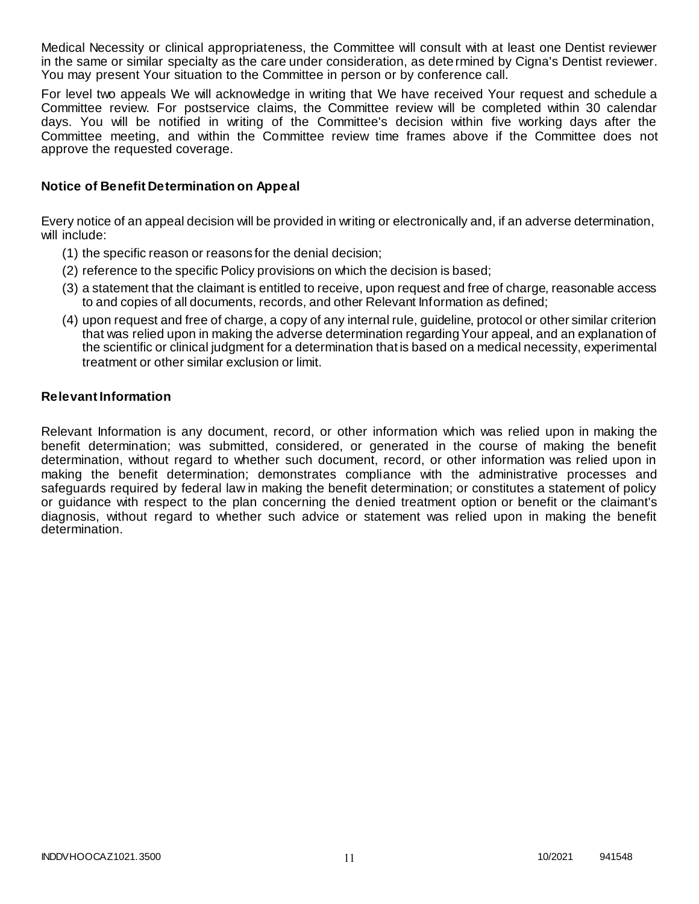Medical Necessity or clinical appropriateness, the Committee will consult with at least one Dentist reviewer in the same or similar specialty as the care under consideration, as determined by Cigna's Dentist reviewer. You may present Your situation to the Committee in person or by conference call.

For level two appeals We will acknowledge in writing that We have received Your request and schedule a Committee review. For postservice claims, the Committee review will be completed within 30 calendar days. You will be notified in writing of the Committee's decision within five working days after the Committee meeting, and within the Committee review time frames above if the Committee does not approve the requested coverage.

### **Notice of Benefit Determination on Appeal**

Every notice of an appeal decision will be provided in writing or electronically and, if an adverse determination, will include:

- (1) the specific reason or reasons for the denial decision;
- (2) reference to the specific Policy provisions on which the decision is based;
- (3) a statement that the claimant is entitled to receive, upon request and free of charge, reasonable access to and copies of all documents, records, and other Relevant Information as defined;
- (4) upon request and free of charge, a copy of any internal rule, guideline, protocol or other similar criterion that was relied upon in making the adverse determination regarding Your appeal, and an explanation of the scientific or clinical judgment for a determination that is based on a medical necessity, experimental treatment or other similar exclusion or limit.

### **Relevant Information**

Relevant Information is any document, record, or other information which was relied upon in making the benefit determination; was submitted, considered, or generated in the course of making the benefit determination, without regard to whether such document, record, or other information was relied upon in making the benefit determination; demonstrates compliance with the administrative processes and safeguards required by federal law in making the benefit determination; or constitutes a statement of policy or guidance with respect to the plan concerning the denied treatment option or benefit or the claimant's diagnosis, without regard to whether such advice or statement was relied upon in making the benefit determination.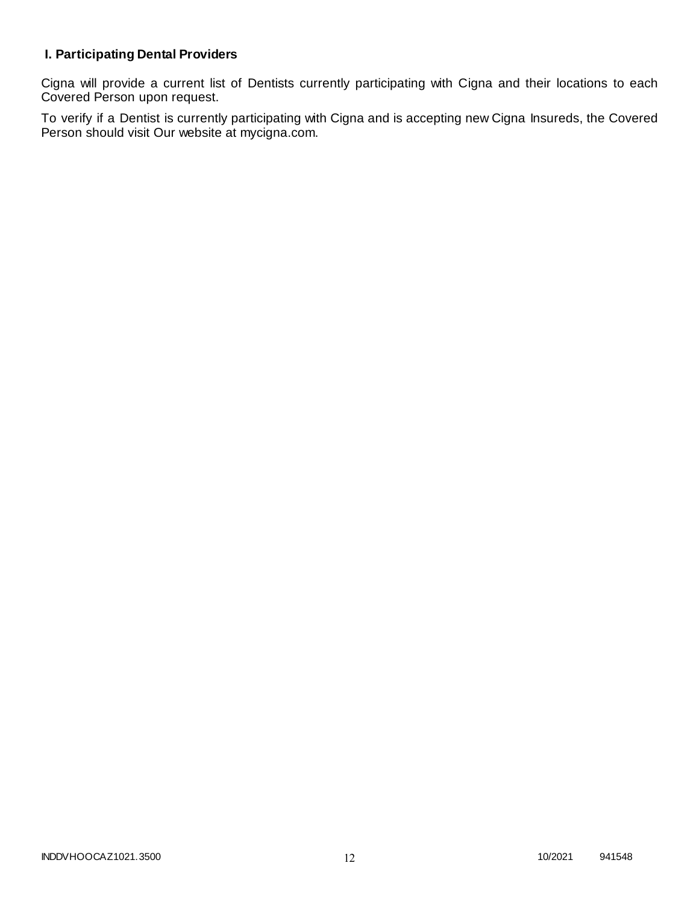# **I. Participating Dental Providers**

Cigna will provide a current list of Dentists currently participating with Cigna and their locations to each Covered Person upon request.

To verify if a Dentist is currently participating with Cigna and is accepting new Cigna Insureds, the Covered Person should visit Our website at mycigna.com.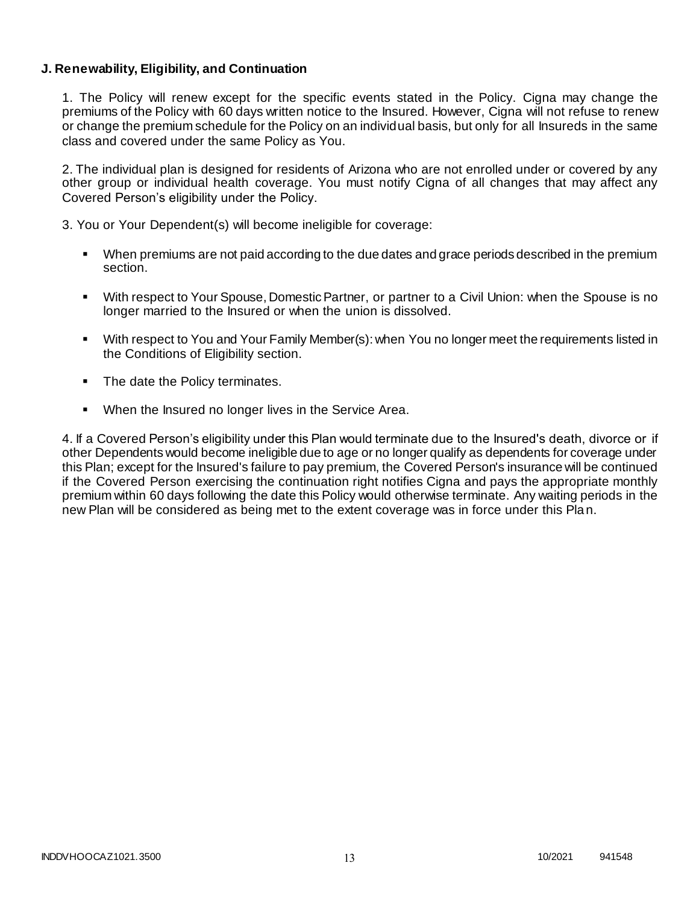### **J. Renewability, Eligibility, and Continuation**

1. The Policy will renew except for the specific events stated in the Policy. Cigna may change the premiums of the Policy with 60 days written notice to the Insured. However, Cigna will not refuse to renew or change the premium schedule for the Policy on an individual basis, but only for all Insureds in the same class and covered under the same Policy as You.

2. The individual plan is designed for residents of Arizona who are not enrolled under or covered by any other group or individual health coverage. You must notify Cigna of all changes that may affect any Covered Person's eligibility under the Policy.

3. You or Your Dependent(s) will become ineligible for coverage:

- When premiums are not paid according to the due dates and grace periods described in the premium section.
- With respect to Your Spouse, Domestic Partner, or partner to a Civil Union: when the Spouse is no longer married to the Insured or when the union is dissolved.
- With respect to You and Your Family Member(s): when You no longer meet the requirements listed in the Conditions of Eligibility section.
- The date the Policy terminates.
- When the Insured no longer lives in the Service Area.

4. If a Covered Person's eligibility under this Plan would terminate due to the Insured's death, divorce or if other Dependents would become ineligible due to age or no longer qualify as dependents for coverage under this Plan; except for the Insured's failure to pay premium, the Covered Person's insurance will be continued if the Covered Person exercising the continuation right notifies Cigna and pays the appropriate monthly premium within 60 days following the date this Policy would otherwise terminate. Any waiting periods in the new Plan will be considered as being met to the extent coverage was in force under this Pla n.